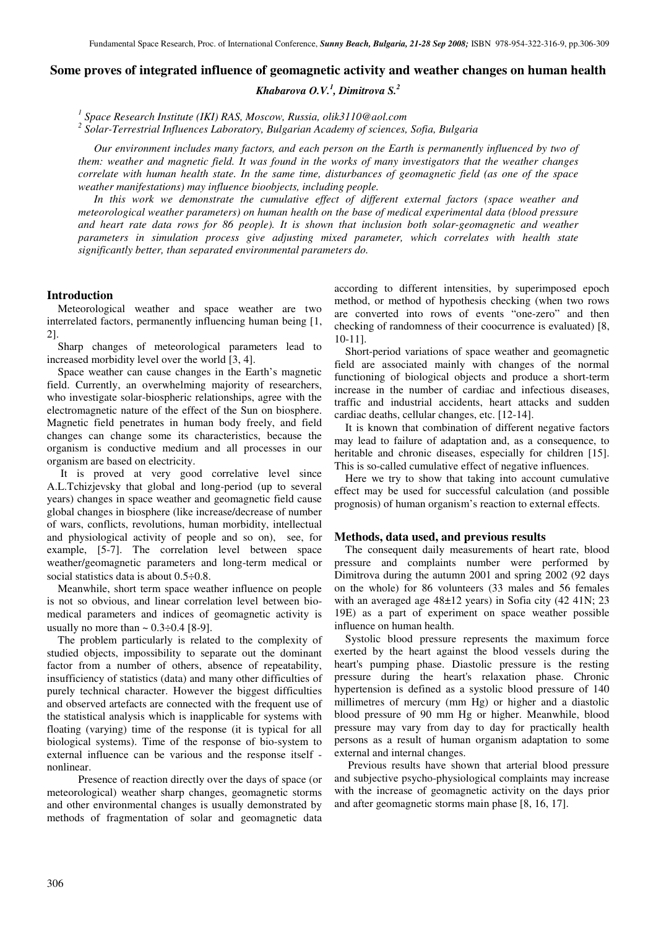# **Some proves of integrated influence of geomagnetic activity and weather changes on human health**

*Khabarova O.V.<sup>1</sup> , Dimitrova S.<sup>2</sup>*

*1 Space Research Institute (IKI) RAS, Moscow, Russia, olik3110@aol.com* 

*2 Solar-Terrestrial Influences Laboratory, Bulgarian Academy of sciences, Sofia, Bulgaria* 

*Our environment includes many factors, and each person on the Earth is permanently influenced by two of them: weather and magnetic field. It was found in the works of many investigators that the weather changes correlate with human health state. In the same time, disturbances of geomagnetic field (as one of the space weather manifestations) may influence bioobjects, including people.* 

*In this work we demonstrate the cumulative effect of different external factors (space weather and meteorological weather parameters) on human health on the base of medical experimental data (blood pressure and heart rate data rows for 86 people). It is shown that inclusion both solar-geomagnetic and weather parameters in simulation process give adjusting mixed parameter, which correlates with health state significantly better, than separated environmental parameters do.* 

## **Introduction**

Meteorological weather and space weather are two interrelated factors, permanently influencing human being [1, 2].

Sharp changes of meteorological parameters lead to increased morbidity level over the world [3, 4].

Space weather can cause changes in the Earth's magnetic field. Currently, an overwhelming majority of researchers, who investigate solar-biospheric relationships, agree with the electromagnetic nature of the effect of the Sun on biosphere. Magnetic field penetrates in human body freely, and field changes can change some its characteristics, because the organism is conductive medium and all processes in our organism are based on electricity.

 It is proved at very good correlative level since A.L.Tchizjevsky that global and long-period (up to several years) changes in space weather and geomagnetic field cause global changes in biosphere (like increase/decrease of number of wars, conflicts, revolutions, human morbidity, intellectual and physiological activity of people and so on), see, for example, [5-7]. The correlation level between space weather/geomagnetic parameters and long-term medical or social statistics data is about 0.5÷0.8.

Meanwhile, short term space weather influence on people is not so obvious, and linear correlation level between biomedical parameters and indices of geomagnetic activity is usually no more than  $\sim 0.3 \div 0.4$  [8-9].

The problem particularly is related to the complexity of studied objects, impossibility to separate out the dominant factor from a number of others, absence of repeatability, insufficiency of statistics (data) and many other difficulties of purely technical character. However the biggest difficulties and observed artefacts are connected with the frequent use of the statistical analysis which is inapplicable for systems with floating (varying) time of the response (it is typical for all biological systems). Time of the response of bio-system to external influence can be various and the response itself nonlinear.

Presence of reaction directly over the days of space (or meteorological) weather sharp changes, geomagnetic storms and other environmental changes is usually demonstrated by methods of fragmentation of solar and geomagnetic data

according to different intensities, by superimposed epoch method, or method of hypothesis checking (when two rows are converted into rows of events "one-zero" and then checking of randomness of their coocurrence is evaluated) [8, 10-11].

Short-period variations of space weather and geomagnetic field are associated mainly with changes of the normal functioning of biological objects and produce a short-term increase in the number of cardiac and infectious diseases, traffic and industrial accidents, heart attacks and sudden cardiac deaths, cellular changes, etc. [12-14].

It is known that combination of different negative factors may lead to failure of adaptation and, as a consequence, to heritable and chronic diseases, especially for children [15]. This is so-called cumulative effect of negative influences.

Here we try to show that taking into account cumulative effect may be used for successful calculation (and possible prognosis) of human organism's reaction to external effects.

### **Methods, data used, and previous results**

The consequent daily measurements of heart rate, blood pressure and complaints number were performed by Dimitrova during the autumn 2001 and spring 2002 (92 days on the whole) for 86 volunteers (33 males and 56 females with an averaged age  $48\pm12$  years) in Sofia city (42 41N; 23 19E) as a part of experiment on space weather possible influence on human health.

Systolic blood pressure represents the maximum force exerted by the heart against the blood vessels during the heart's pumping phase. Diastolic pressure is the resting pressure during the heart's relaxation phase. Chronic hypertension is defined as a systolic blood pressure of 140 millimetres of mercury (mm Hg) or higher and a diastolic blood pressure of 90 mm Hg or higher. Meanwhile, blood pressure may vary from day to day for practically health persons as a result of human organism adaptation to some external and internal changes.

 Previous results have shown that arterial blood pressure and subjective psycho-physiological complaints may increase with the increase of geomagnetic activity on the days prior and after geomagnetic storms main phase [8, 16, 17].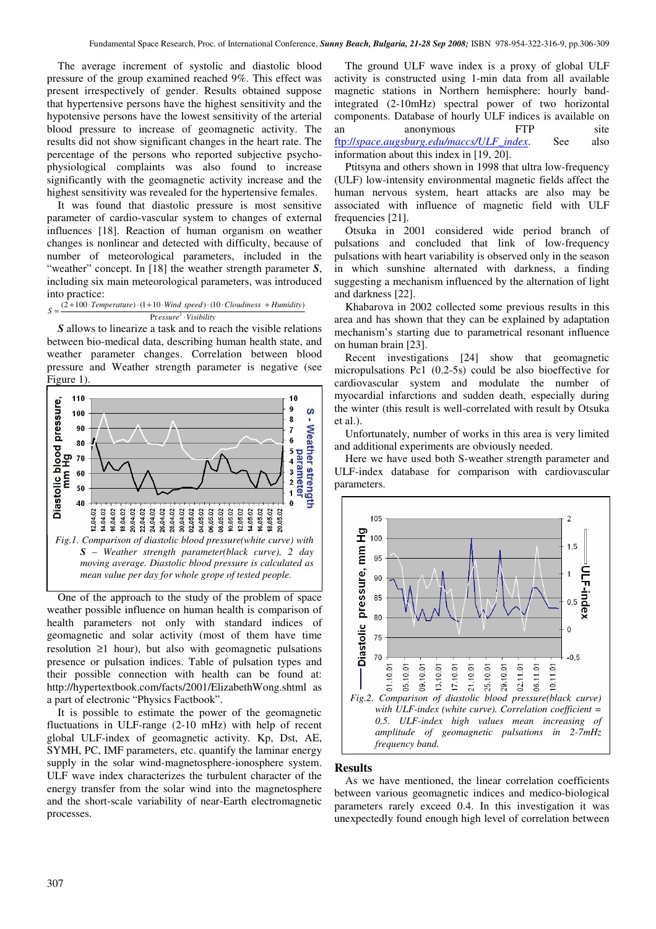The average increment of systolic and diastolic blood pressure of the group examined reached 9%. This effect was present irrespectively of gender. Results obtained suppose that hypertensive persons have the highest sensitivity and the hypotensive persons have the lowest sensitivity of the arterial blood pressure to increase of geomagnetic activity. The results did not show significant changes in the heart rate. The percentage of the persons who reported subjective psychophysiological complaints was also found to increase significantly with the geomagnetic activity increase and the highest sensitivity was revealed for the hypertensive females.

It was found that diastolic pressure is most sensitive parameter of cardio-vascular system to changes of external influences [18]. Reaction of human organism on weather changes is nonlinear and detected with difficulty, because of number of meteorological parameters, included in the "weather" concept. In [18] the weather strength parameter *S*, including six main meteorological parameters, was introduced into practice:

*essure Visibility* ⋅ Pr  $=\frac{(2+100\cdot Temperature)\cdot(1+10\cdot Wind\ speed)\cdot(10\cdot Cloudiness + Humidity)}{Area{var}^2\cdot Waitition}$ *S*

*S* allows to linearize a task and to reach the visible relations between bio-medical data, describing human health state, and weather parameter changes. Correlation between blood pressure and Weather strength parameter is negative (see Figure 1).



One of the approach to the study of the problem of space weather possible influence on human health is comparison of health parameters not only with standard indices of geomagnetic and solar activity (most of them have time resolution ≥1 hour), but also with geomagnetic pulsations presence or pulsation indices. Table of pulsation types and their possible connection with health can be found at: http://hypertextbook.com/facts/2001/ElizabethWong.shtml as a part of electronic "Physics Factbook".

It is possible to estimate the power of the geomagnetic fluctuations in ULF-range (2-10 mHz) with help of recent global ULF-index of geomagnetic activity. Kp, Dst, AE, SYMH, PC, IMF parameters, etc. quantify the laminar energy supply in the solar wind-magnetosphere-ionosphere system. ULF wave index characterizes the turbulent character of the energy transfer from the solar wind into the magnetosphere and the short-scale variability of near-Earth electromagnetic processes.

The ground ULF wave index is a proxy of global ULF activity is constructed using 1-min data from all available magnetic stations in Northern hemisphere: hourly bandintegrated (2-10mHz) spectral power of two horizontal components. Database of hourly ULF indices is available on an anonymous FTP site ftp://*space.augsburg.edu/maccs/ULF\_index*. See also information about this index in [19, 20].

Ptitsyna and others shown in 1998 that ultra low-frequency (ULF) low-intensity environmental magnetic fields affect the human nervous system, heart attacks are also may be associated with influence of magnetic field with ULF frequencies [21].

Otsuka in 2001 considered wide period branch of pulsations and concluded that link of low-frequency pulsations with heart variability is observed only in the season in which sunshine alternated with darkness, a finding suggesting a mechanism influenced by the alternation of light and darkness [22].

Khabarova in 2002 collected some previous results in this area and has shown that they can be explained by adaptation mechanism's starting due to parametrical resonant influence on human brain [23].

Recent investigations [24] show that geomagnetic micropulsations Pc1 (0.2-5s) could be also bioeffective for cardiovascular system and modulate the number of myocardial infarctions and sudden death, especially during the winter (this result is well-correlated with result by Otsuka  $et$ al.).

Unfortunately, number of works in this area is very limited and additional experiments are obviously needed.

Here we have used both S-weather strength parameter and ULF-index database for comparison with cardiovascular parameters.



### **Results**

As we have mentioned, the linear correlation coefficients between various geomagnetic indices and medico-biological parameters rarely exceed 0.4. In this investigation it was unexpectedly found enough high level of correlation between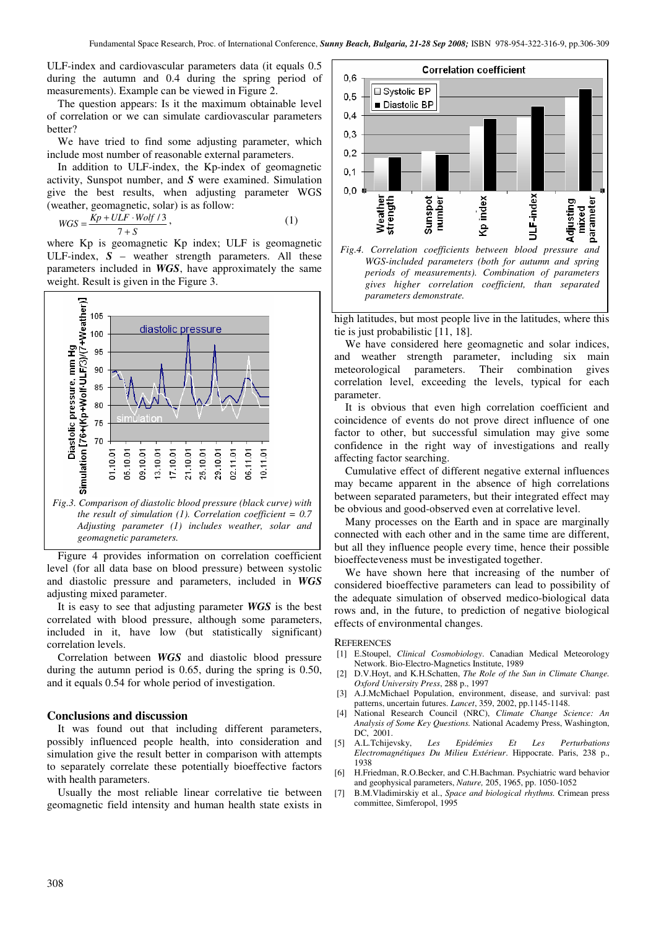ULF-index and cardiovascular parameters data (it equals 0.5 during the autumn and 0.4 during the spring period of measurements). Example can be viewed in Figure 2.

The question appears: Is it the maximum obtainable level of correlation or we can simulate cardiovascular parameters better?

We have tried to find some adjusting parameter, which include most number of reasonable external parameters.

In addition to ULF-index, the Kp-index of geomagnetic activity, Sunspot number, and *S* were examined. Simulation give the best results, when adjusting parameter WGS (weather, geomagnetic, solar) is as follow:

$$
WGS = \frac{Kp + ULF \cdot Wolf / 3}{7 + S},\tag{1}
$$

where Kp is geomagnetic Kp index; ULF is geomagnetic ULF-index, *S* – weather strength parameters. All these parameters included in *WGS*, have approximately the same weight. Result is given in the Figure 3.



Figure 4 provides information on correlation coefficient level (for all data base on blood pressure) between systolic and diastolic pressure and parameters, included in *WGS*  adjusting mixed parameter.

It is easy to see that adjusting parameter *WGS* is the best correlated with blood pressure, although some parameters, included in it, have low (but statistically significant) correlation levels.

Correlation between *WGS* and diastolic blood pressure during the autumn period is 0.65, during the spring is 0.50, and it equals 0.54 for whole period of investigation.

#### **Conclusions and discussion**

It was found out that including different parameters, possibly influenced people health, into consideration and simulation give the result better in comparison with attempts to separately correlate these potentially bioeffective factors with health parameters.

Usually the most reliable linear correlative tie between geomagnetic field intensity and human health state exists in



high latitudes, but most people live in the latitudes, where this tie is just probabilistic [11, 18].

We have considered here geomagnetic and solar indices, and weather strength parameter, including six main meteorological parameters. Their combination gives correlation level, exceeding the levels, typical for each parameter.

It is obvious that even high correlation coefficient and coincidence of events do not prove direct influence of one factor to other, but successful simulation may give some confidence in the right way of investigations and really affecting factor searching.

Cumulative effect of different negative external influences may became apparent in the absence of high correlations between separated parameters, but their integrated effect may be obvious and good-observed even at correlative level.

Many processes on the Earth and in space are marginally connected with each other and in the same time are different, but all they influence people every time, hence their possible bioeffecteveness must be investigated together.

We have shown here that increasing of the number of considered bioeffective parameters can lead to possibility of the adequate simulation of observed medico-biological data rows and, in the future, to prediction of negative biological effects of environmental changes.

#### **REFERENCES**

- [1] E.Stoupel, *Clinical Cosmobiology*. Canadian Medical Meteorology Network. Bio-Electro-Magnetics Institute, 1989
- [2] D.V.Hoyt, and K.H.Schatten, *The Role of the Sun in Climate Change. Oxford University Press*, 288 p., 1997
- [3] A.J.McMichael Population, environment, disease, and survival: past patterns, uncertain futures. *Lancet*, 359, 2002, pp.1145-1148.
- [4] National Research Council (NRC), *Climate Change Science: An Analysis of Some Key Questions.* National Academy Press, Washington, DC, 2001.
- [5] A.L.Tchijevsky, *Les Epidémies Et Les Perturbations Electromagnétiques Du Milieu Extérieur*. Hippocrate. Paris, 238 p., 1938
- [6] H.Friedman, R.O.Becker, and C.H.Bachman. Psychiatric ward behavior and geophysical parameters, *Nature,* 205, 1965, pp. 1050-1052
- [7] B.M.Vladimirskiy et al., *Space and biological rhythms.* Crimean press committee, Simferopol, 1995